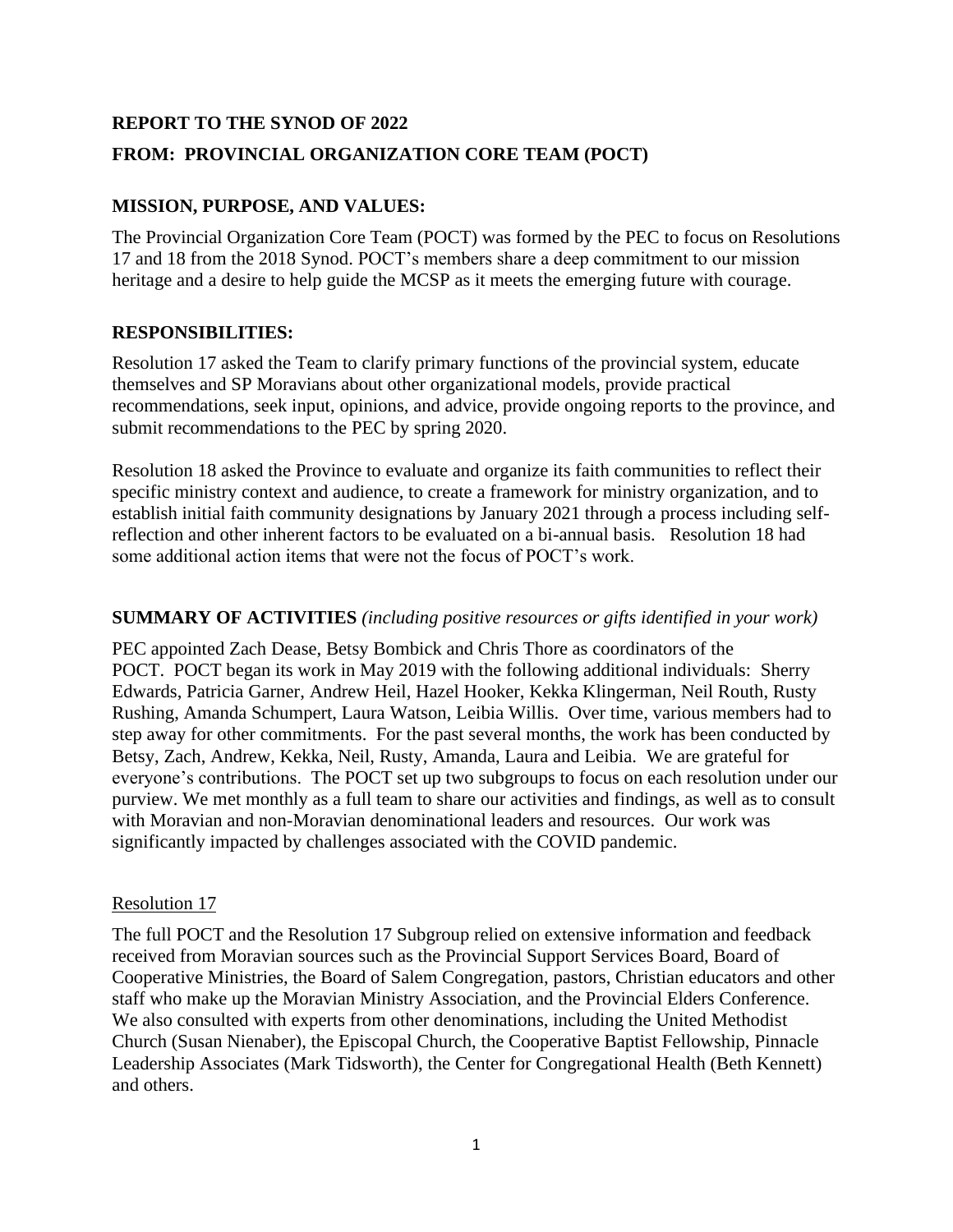# **REPORT TO THE SYNOD OF 2022 FROM: PROVINCIAL ORGANIZATION CORE TEAM (POCT)**

## **MISSION, PURPOSE, AND VALUES:**

The Provincial Organization Core Team (POCT) was formed by the PEC to focus on Resolutions 17 and 18 from the 2018 Synod. POCT's members share a deep commitment to our mission heritage and a desire to help guide the MCSP as it meets the emerging future with courage.

## **RESPONSIBILITIES:**

Resolution 17 asked the Team to clarify primary functions of the provincial system, educate themselves and SP Moravians about other organizational models, provide practical recommendations, seek input, opinions, and advice, provide ongoing reports to the province, and submit recommendations to the PEC by spring 2020.

Resolution 18 asked the Province to evaluate and organize its faith communities to reflect their specific ministry context and audience, to create a framework for ministry organization, and to establish initial faith community designations by January 2021 through a process including selfreflection and other inherent factors to be evaluated on a bi-annual basis. Resolution 18 had some additional action items that were not the focus of POCT's work.

#### **SUMMARY OF ACTIVITIES** *(including positive resources or gifts identified in your work)*

PEC appointed Zach Dease, Betsy Bombick and Chris Thore as coordinators of the POCT. POCT began its work in May 2019 with the following additional individuals: Sherry Edwards, Patricia Garner, Andrew Heil, Hazel Hooker, Kekka Klingerman, Neil Routh, Rusty Rushing, Amanda Schumpert, Laura Watson, Leibia Willis. Over time, various members had to step away for other commitments. For the past several months, the work has been conducted by Betsy, Zach, Andrew, Kekka, Neil, Rusty, Amanda, Laura and Leibia. We are grateful for everyone's contributions. The POCT set up two subgroups to focus on each resolution under our purview. We met monthly as a full team to share our activities and findings, as well as to consult with Moravian and non-Moravian denominational leaders and resources. Our work was significantly impacted by challenges associated with the COVID pandemic.

## Resolution 17

The full POCT and the Resolution 17 Subgroup relied on extensive information and feedback received from Moravian sources such as the Provincial Support Services Board, Board of Cooperative Ministries, the Board of Salem Congregation, pastors, Christian educators and other staff who make up the Moravian Ministry Association, and the Provincial Elders Conference. We also consulted with experts from other denominations, including the United Methodist Church (Susan Nienaber), the Episcopal Church, the Cooperative Baptist Fellowship, Pinnacle Leadership Associates (Mark Tidsworth), the Center for Congregational Health (Beth Kennett) and others.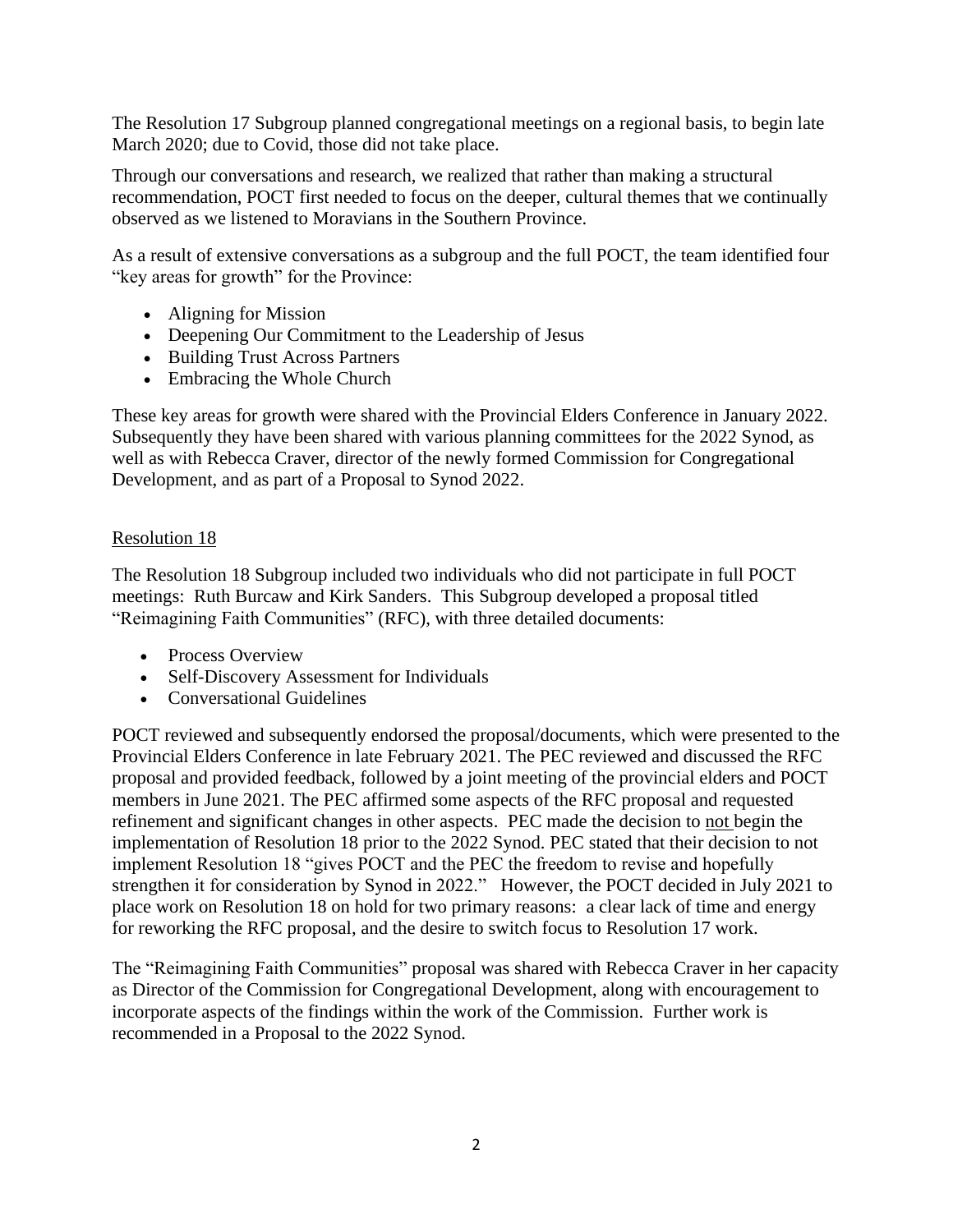The Resolution 17 Subgroup planned congregational meetings on a regional basis, to begin late March 2020; due to Covid, those did not take place.

Through our conversations and research, we realized that rather than making a structural recommendation, POCT first needed to focus on the deeper, cultural themes that we continually observed as we listened to Moravians in the Southern Province.

As a result of extensive conversations as a subgroup and the full POCT, the team identified four "key areas for growth" for the Province:

- Aligning for Mission
- Deepening Our Commitment to the Leadership of Jesus
- Building Trust Across Partners
- Embracing the Whole Church

These key areas for growth were shared with the Provincial Elders Conference in January 2022. Subsequently they have been shared with various planning committees for the 2022 Synod, as well as with Rebecca Craver, director of the newly formed Commission for Congregational Development, and as part of a Proposal to Synod 2022.

## Resolution 18

The Resolution 18 Subgroup included two individuals who did not participate in full POCT meetings: Ruth Burcaw and Kirk Sanders. This Subgroup developed a proposal titled "Reimagining Faith Communities" (RFC), with three detailed documents:

- Process Overview
- Self-Discovery Assessment for Individuals
- Conversational Guidelines

POCT reviewed and subsequently endorsed the proposal/documents, which were presented to the Provincial Elders Conference in late February 2021. The PEC reviewed and discussed the RFC proposal and provided feedback, followed by a joint meeting of the provincial elders and POCT members in June 2021. The PEC affirmed some aspects of the RFC proposal and requested refinement and significant changes in other aspects. PEC made the decision to not begin the implementation of Resolution 18 prior to the 2022 Synod. PEC stated that their decision to not implement Resolution 18 "gives POCT and the PEC the freedom to revise and hopefully strengthen it for consideration by Synod in 2022." However, the POCT decided in July 2021 to place work on Resolution 18 on hold for two primary reasons: a clear lack of time and energy for reworking the RFC proposal, and the desire to switch focus to Resolution 17 work.

The "Reimagining Faith Communities" proposal was shared with Rebecca Craver in her capacity as Director of the Commission for Congregational Development, along with encouragement to incorporate aspects of the findings within the work of the Commission. Further work is recommended in a Proposal to the 2022 Synod.